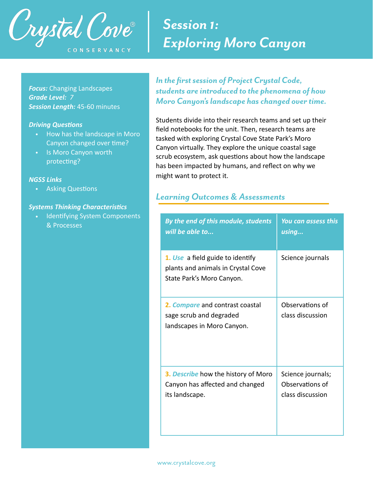

# *Session 1: Exploring Moro Canyon*

*Focus:* Changing Landscapes *Grade Level: 7 Session Length:* 45-60 minutes

#### **Driving Questions**

- How has the landscape in Moro Canyon changed over time?
- Is Moro Canyon worth protecting?

### *NGSS Links*

• Asking Questions

#### **Systems Thinking Characteristics**

Identifying System Components & Processes

*In the first session of Project Crystal Code, students are introduced to the phenomena of how Moro Canyon's landscape has changed over time.* 

Students divide into their research teams and set up their field notebooks for the unit. Then, research teams are tasked with exploring Crystal Cove State Park's Moro Canyon virtually. They explore the unique coastal sage scrub ecosystem, ask questions about how the landscape has been impacted by humans, and reflect on why we might want to protect it.

## *Learning Outcomes & Assessments*

| By the end of this module, students                                                                 | <u>You can assess this</u>          |  |
|-----------------------------------------------------------------------------------------------------|-------------------------------------|--|
| will be able to                                                                                     | using                               |  |
| 1. Use a field guide to identify<br>plants and animals in Crystal Cove<br>State Park's Moro Canyon. | Science journals                    |  |
| 2. Compare and contrast coastal<br>sage scrub and degraded<br>landscapes in Moro Canyon.            | Observations of<br>class discussion |  |
| 3. Describe how the history of Moro                                                                 | Science journals;                   |  |
| Canyon has affected and changed                                                                     | Observations of                     |  |
| its landscape.                                                                                      | class discussion                    |  |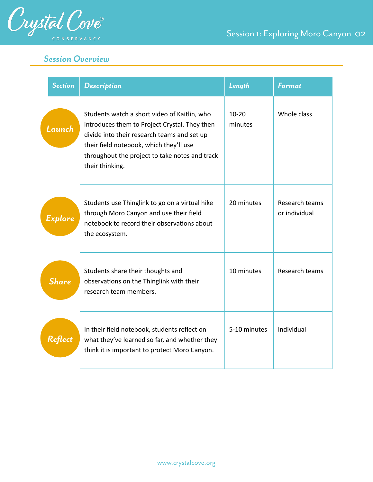

# *Session Overview*

| <b>Section</b> | <b>Description</b>                                                                                                                                                                                                                                           | Length               | <b>Format</b>                   |
|----------------|--------------------------------------------------------------------------------------------------------------------------------------------------------------------------------------------------------------------------------------------------------------|----------------------|---------------------------------|
| Launch         | Students watch a short video of Kaitlin, who<br>introduces them to Project Crystal. They then<br>divide into their research teams and set up<br>their field notebook, which they'll use<br>throughout the project to take notes and track<br>their thinking. | $10 - 20$<br>minutes | Whole class                     |
| Explore        | Students use Thinglink to go on a virtual hike<br>through Moro Canyon and use their field<br>notebook to record their observations about<br>the ecosystem.                                                                                                   | 20 minutes           | Research teams<br>or individual |
| <b>Share</b>   | Students share their thoughts and<br>observations on the Thinglink with their<br>research team members.                                                                                                                                                      | 10 minutes           | Research teams                  |
| Reflect        | In their field notebook, students reflect on<br>what they've learned so far, and whether they<br>think it is important to protect Moro Canyon.                                                                                                               | 5-10 minutes         | Individual                      |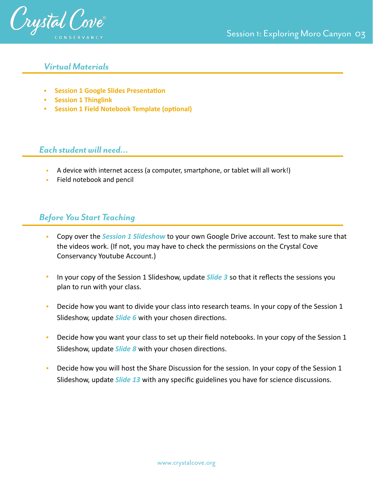

### *Virtual Materials*

- **•** Session 1 Google Slides Presentation
- **• [Session 1 Thinglink](https://www.thinglink.com/scene/1352669246768807937)**
- **•** Session 1 Field Notebook Template (optional)

### *Each student will need…*

- A device with internet access (a computer, smartphone, or tablet will all work!)
- Field notebook and pencil

# *Before You Start Teaching*

- Copy over the *Session 1 Slideshow* to your own Google Drive account. Test to make sure that the videos work. (If not, you may have to check the permissions on the Crystal Cove Conservancy Youtube Account.)
- In your copy of the Session 1 Slideshow, update **Slide 3** so that it reflects the sessions you plan to run with your class.
- Decide how you want to divide your class into research teams. In your copy of the Session 1 Slideshow, update *Slide 6* with your chosen directions.
- Decide how you want your class to set up their field notebooks. In your copy of the Session 1 Slideshow, update *Slide 8* with your chosen directions.
- Decide how you will host the Share Discussion for the session. In your copy of the Session 1 Slideshow, update *Slide 13* with any specific guidelines you have for science discussions.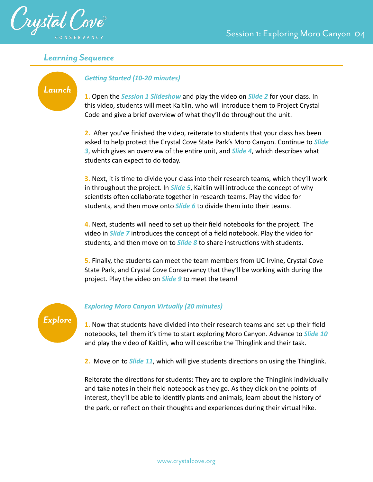



### *Learning Sequence*

## *Launch*

### **Getting Started (10-20 minutes)**

**1.** Open the *Session 1 Slideshow* and play the video on *Slide 2* for your class. In this video, students will meet Kaitlin, who will introduce them to Project Crystal Code and give a brief overview of what they'll do throughout the unit.

**2.** After you've finished the video, reiterate to students that your class has been asked to help protect the Crystal Cove State Park's Moro Canyon. Continue to *Slide* 3, which gives an overview of the entire unit, and **Slide 4**, which describes what students can expect to do today.

**3.** Next, it is time to divide your class into their research teams, which they'll work in throughout the project. In *Slide 5*, Kaitlin will introduce the concept of why scientists often collaborate together in research teams. Play the video for students, and then move onto *Slide 6* to divide them into their teams.

**4.** Next, students will need to set up their field notebooks for the project. The video in *Slide 7* introduces the concept of a field notebook. Play the video for students, and then move on to *Slide 8* to share instructions with students.

**5.** Finally, the students can meet the team members from UC Irvine, Crystal Cove State Park, and Crystal Cove Conservancy that they'll be working with during the project. Play the video on *Slide 9* to meet the team!



#### *Exploring Moro Canyon Virtually (20 minutes)*

**1.** Now that students have divided into their research teams and set up their field notebooks, tell them it's time to start exploring Moro Canyon. Advance to *Slide 10* and play the video of Kaitlin, who will describe the Thinglink and their task.

**2.** Move on to *Slide 11*, which will give students directions on using the Thinglink.

Reiterate the directions for students: They are to explore the Thinglink individually and take notes in their field notebook as they go. As they click on the points of interest, they'll be able to identify plants and animals, learn about the history of the park, or reflect on their thoughts and experiences during their virtual hike.